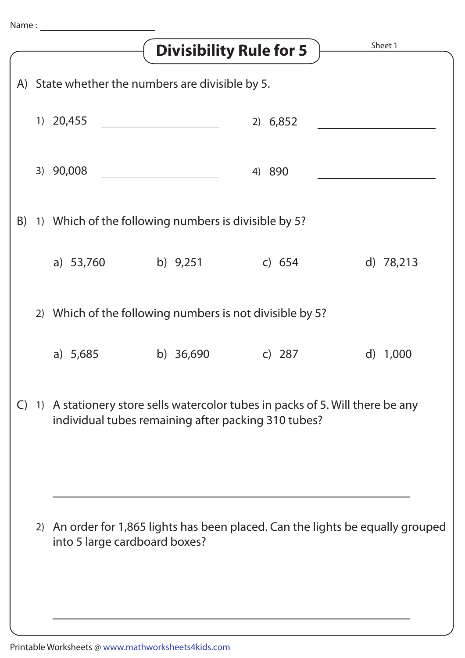|    |                                                                                                                                         | <b>Divisibility Rule for 5</b> |          | Sheet 1    |  |  |  |
|----|-----------------------------------------------------------------------------------------------------------------------------------------|--------------------------------|----------|------------|--|--|--|
|    | A) State whether the numbers are divisible by 5.                                                                                        |                                |          |            |  |  |  |
|    | 1) 20,455                                                                                                                               |                                | 2) 6,852 |            |  |  |  |
|    | 3) 90,008                                                                                                                               |                                | 4) 890   |            |  |  |  |
| B) | 1) Which of the following numbers is divisible by 5?                                                                                    |                                |          |            |  |  |  |
|    | a) 53,760                                                                                                                               | b) $9,251$                     | c) $654$ | d) 78,213  |  |  |  |
|    | 2) Which of the following numbers is not divisible by 5?                                                                                |                                |          |            |  |  |  |
|    | a) $5,685$                                                                                                                              | b) $36,690$                    | c) $287$ | d) $1,000$ |  |  |  |
|    | C) 1) A stationery store sells watercolor tubes in packs of 5. Will there be any<br>individual tubes remaining after packing 310 tubes? |                                |          |            |  |  |  |
|    | 2) An order for 1,865 lights has been placed. Can the lights be equally grouped<br>into 5 large cardboard boxes?                        |                                |          |            |  |  |  |